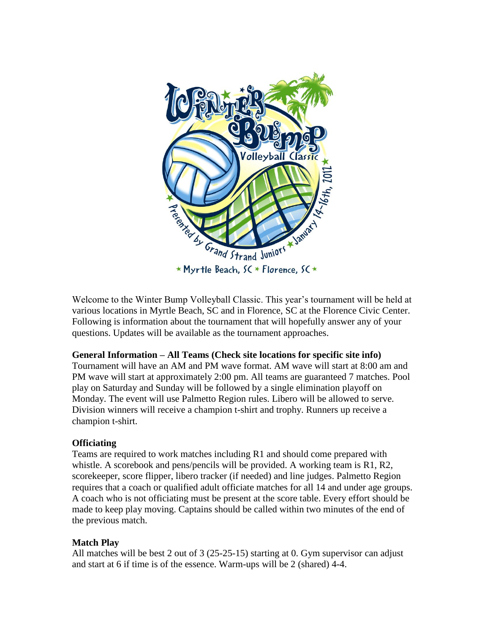

Welcome to the Winter Bump Volleyball Classic. This year's tournament will be held at various locations in Myrtle Beach, SC and in Florence, SC at the Florence Civic Center. Following is information about the tournament that will hopefully answer any of your questions. Updates will be available as the tournament approaches.

### **General Information – All Teams (Check site locations for specific site info)**

Tournament will have an AM and PM wave format. AM wave will start at 8:00 am and PM wave will start at approximately 2:00 pm. All teams are guaranteed 7 matches. Pool play on Saturday and Sunday will be followed by a single elimination playoff on Monday. The event will use Palmetto Region rules. Libero will be allowed to serve. Division winners will receive a champion t-shirt and trophy. Runners up receive a champion t-shirt.

## **Officiating**

Teams are required to work matches including R1 and should come prepared with whistle. A scorebook and pens/pencils will be provided. A working team is R1, R2, scorekeeper, score flipper, libero tracker (if needed) and line judges. Palmetto Region requires that a coach or qualified adult officiate matches for all 14 and under age groups. A coach who is not officiating must be present at the score table. Every effort should be made to keep play moving. Captains should be called within two minutes of the end of the previous match.

## **Match Play**

All matches will be best 2 out of 3 (25-25-15) starting at 0. Gym supervisor can adjust and start at 6 if time is of the essence. Warm-ups will be 2 (shared) 4-4.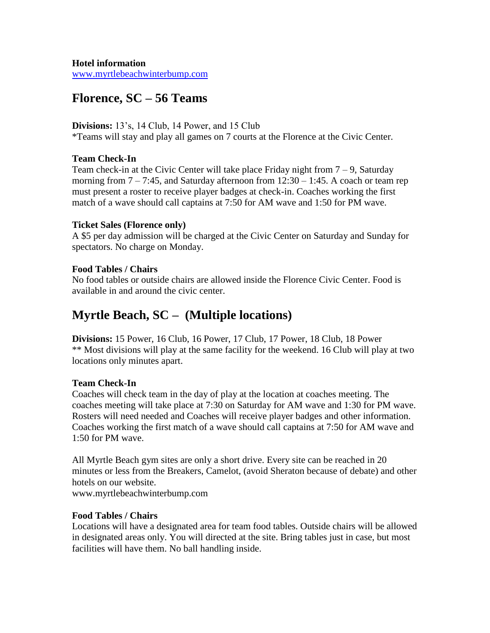**Hotel information**

[www.myrtlebeachwinterbump.com](http://www.myrtlebeachwinterbump.com/)

# **Florence, SC – 56 Teams**

#### **Divisions:** 13's, 14 Club, 14 Power, and 15 Club

\*Teams will stay and play all games on 7 courts at the Florence at the Civic Center.

#### **Team Check-In**

Team check-in at the Civic Center will take place Friday night from  $7 - 9$ , Saturday morning from  $7 - 7:45$ , and Saturday afternoon from  $12:30 - 1:45$ . A coach or team rep must present a roster to receive player badges at check-in. Coaches working the first match of a wave should call captains at 7:50 for AM wave and 1:50 for PM wave.

#### **Ticket Sales (Florence only)**

A \$5 per day admission will be charged at the Civic Center on Saturday and Sunday for spectators. No charge on Monday.

### **Food Tables / Chairs**

No food tables or outside chairs are allowed inside the Florence Civic Center. Food is available in and around the civic center.

# **Myrtle Beach, SC – (Multiple locations)**

**Divisions:** 15 Power, 16 Club, 16 Power, 17 Club, 17 Power, 18 Club, 18 Power \*\* Most divisions will play at the same facility for the weekend. 16 Club will play at two locations only minutes apart.

### **Team Check-In**

Coaches will check team in the day of play at the location at coaches meeting. The coaches meeting will take place at 7:30 on Saturday for AM wave and 1:30 for PM wave. Rosters will need needed and Coaches will receive player badges and other information. Coaches working the first match of a wave should call captains at 7:50 for AM wave and 1:50 for PM wave.

All Myrtle Beach gym sites are only a short drive. Every site can be reached in 20 minutes or less from the Breakers, Camelot, (avoid Sheraton because of debate) and other hotels on our website.

www.myrtlebeachwinterbump.com

#### **Food Tables / Chairs**

Locations will have a designated area for team food tables. Outside chairs will be allowed in designated areas only. You will directed at the site. Bring tables just in case, but most facilities will have them. No ball handling inside.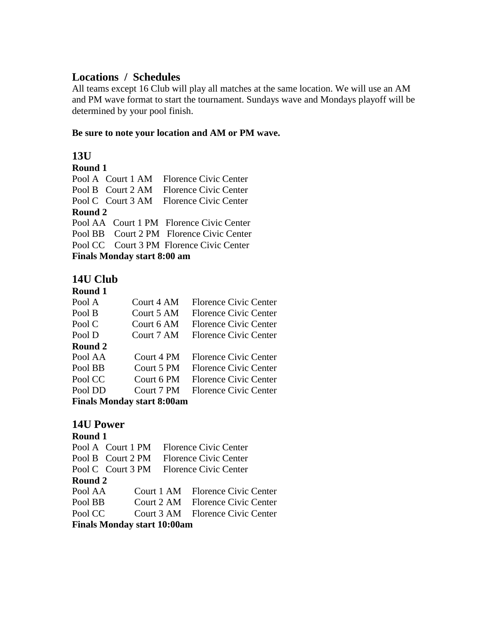# **Locations / Schedules**

All teams except 16 Club will play all matches at the same location. We will use an AM and PM wave format to start the tournament. Sundays wave and Mondays playoff will be determined by your pool finish.

## **Be sure to note your location and AM or PM wave.**

# **13U**

## **Round 1**

|                             |  | Pool A Court 1 AM Florence Civic Center  |  |  |
|-----------------------------|--|------------------------------------------|--|--|
|                             |  | Pool B Court 2 AM Florence Civic Center  |  |  |
|                             |  | Pool C Court 3 AM Florence Civic Center  |  |  |
| Round 2                     |  |                                          |  |  |
|                             |  | Pool AA Court 1 PM Florence Civic Center |  |  |
|                             |  | Pool BB Court 2 PM Florence Civic Center |  |  |
|                             |  | Pool CC Court 3 PM Florence Civic Center |  |  |
| Finals Monday start 8:00 am |  |                                          |  |  |

# **14U Club**

## **Round 1**

| Pool A                     | Court 4 AM | <b>Florence Civic Center</b> |  |  |
|----------------------------|------------|------------------------------|--|--|
| Pool B                     | Court 5 AM | Florence Civic Center        |  |  |
| Pool C                     | Court 6 AM | Florence Civic Center        |  |  |
| Pool D                     | Court 7 AM | <b>Florence Civic Center</b> |  |  |
| Round 2                    |            |                              |  |  |
| Pool AA                    | Court 4 PM | <b>Florence Civic Center</b> |  |  |
| Pool BB                    | Court 5 PM | <b>Florence Civic Center</b> |  |  |
| Pool CC                    | Court 6 PM | <b>Florence Civic Center</b> |  |  |
| Pool DD                    | Court 7 PM | Florence Civic Center        |  |  |
| Finale Manday start 8.00am |            |                              |  |  |

**Finals Monday start 8:00am**

# **14U Power**

#### **Round 1**

|         | Pool A Court 1 PM               | <b>Florence Civic Center</b>            |
|---------|---------------------------------|-----------------------------------------|
|         | Pool B Court 2 PM               | Florence Civic Center                   |
|         |                                 | Pool C Court 3 PM Florence Civic Center |
| Round 2 |                                 |                                         |
| Pool AA |                                 | Court 1 AM Florence Civic Center        |
| Pool BB |                                 | Court 2 AM Florence Civic Center        |
| Pool CC |                                 | Court 3 AM Florence Civic Center        |
|         | $\n  Finala Mandev start 10.00$ |                                         |

**Finals Monday start 10:00am**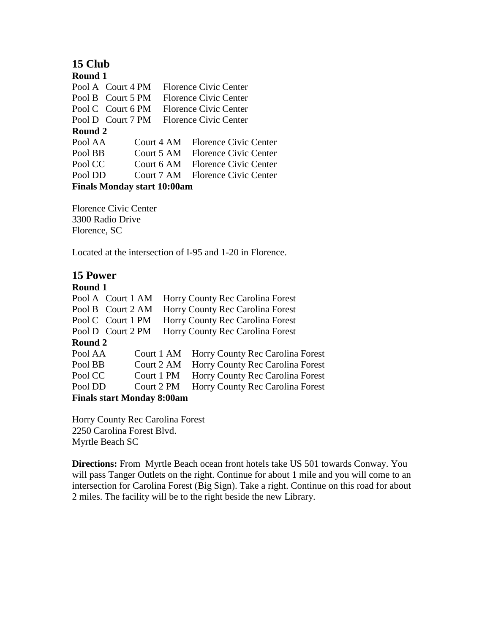# **15 Club**

**Round 1** Pool A Court 4 PM Florence Civic Center Pool B Court 5 PM Florence Civic Center Pool C Court 6 PM Florence Civic Center Pool D Court 7 PM Florence Civic Center **Round 2** Pool AA Court 4 AM Florence Civic Center Pool BB Court 5 AM Florence Civic Center Pool CC Court 6 AM Florence Civic Center Pool DD Court 7 AM Florence Civic Center **Finals Monday start 10:00am**

Florence Civic Center 3300 Radio Drive Florence, SC

Located at the intersection of I-95 and 1-20 in Florence.

# **15 Power**

## **Round 1**

| Pool A Court 1 AM                 |            | Horry County Rec Carolina Forest |
|-----------------------------------|------------|----------------------------------|
| Pool B Court 2 AM                 |            | Horry County Rec Carolina Forest |
| Pool C Court 1 PM                 |            | Horry County Rec Carolina Forest |
| Pool D Court 2 PM                 |            | Horry County Rec Carolina Forest |
| Round 2                           |            |                                  |
| Pool AA                           | Court 1 AM | Horry County Rec Carolina Forest |
| Pool BB                           | Court 2 AM | Horry County Rec Carolina Forest |
| Pool CC                           | Court 1 PM | Horry County Rec Carolina Forest |
| Pool DD                           | Court 2 PM | Horry County Rec Carolina Forest |
| <b>Finals start Monday 8:00am</b> |            |                                  |
|                                   |            |                                  |

Horry County Rec Carolina Forest 2250 Carolina Forest Blvd. Myrtle Beach SC

**Directions:** From Myrtle Beach ocean front hotels take US 501 towards Conway. You will pass Tanger Outlets on the right. Continue for about 1 mile and you will come to an intersection for Carolina Forest (Big Sign). Take a right. Continue on this road for about 2 miles. The facility will be to the right beside the new Library.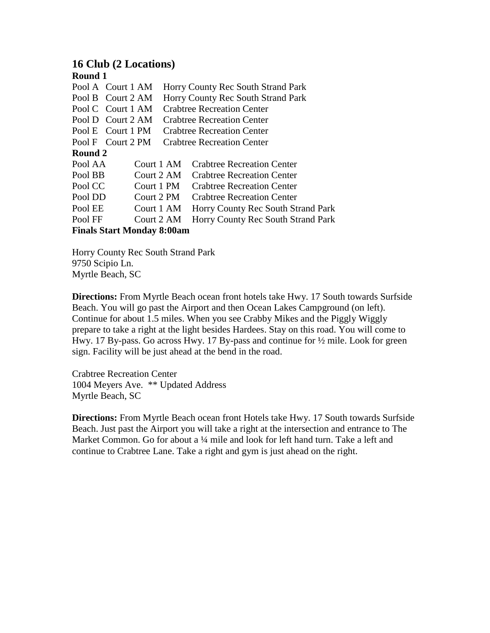# **16 Club (2 Locations)**

| Round 1                           |                   |  |                                    |
|-----------------------------------|-------------------|--|------------------------------------|
|                                   | Pool A Court 1 AM |  | Horry County Rec South Strand Park |
|                                   | Pool B Court 2 AM |  | Horry County Rec South Strand Park |
|                                   | Pool C Court 1 AM |  | <b>Crabtree Recreation Center</b>  |
|                                   | Pool D Court 2 AM |  | <b>Crabtree Recreation Center</b>  |
|                                   | Pool E Court 1 PM |  | <b>Crabtree Recreation Center</b>  |
|                                   | Pool F Court 2 PM |  | <b>Crabtree Recreation Center</b>  |
| Round 2                           |                   |  |                                    |
| Pool AA                           | Court 1 AM        |  | <b>Crabtree Recreation Center</b>  |
| Pool BB                           | Court 2 AM        |  | <b>Crabtree Recreation Center</b>  |
| Pool CC                           | Court 1 PM        |  | <b>Crabtree Recreation Center</b>  |
| Pool DD                           | Court 2 PM        |  | <b>Crabtree Recreation Center</b>  |
| Pool EE                           | Court 1 AM        |  | Horry County Rec South Strand Park |
| Pool FF                           | Court 2 AM        |  | Horry County Rec South Strand Park |
| <b>Finals Start Monday 8:00am</b> |                   |  |                                    |

Horry County Rec South Strand Park

9750 Scipio Ln. Myrtle Beach, SC

**Directions:** From Myrtle Beach ocean front hotels take Hwy. 17 South towards Surfside Beach. You will go past the Airport and then Ocean Lakes Campground (on left). Continue for about 1.5 miles. When you see Crabby Mikes and the Piggly Wiggly prepare to take a right at the light besides Hardees. Stay on this road. You will come to Hwy. 17 By-pass. Go across Hwy. 17 By-pass and continue for ½ mile. Look for green sign. Facility will be just ahead at the bend in the road.

Crabtree Recreation Center 1004 Meyers Ave. \*\* Updated Address Myrtle Beach, SC

**Directions:** From Myrtle Beach ocean front Hotels take Hwy. 17 South towards Surfside Beach. Just past the Airport you will take a right at the intersection and entrance to The Market Common. Go for about a 1/4 mile and look for left hand turn. Take a left and continue to Crabtree Lane. Take a right and gym is just ahead on the right.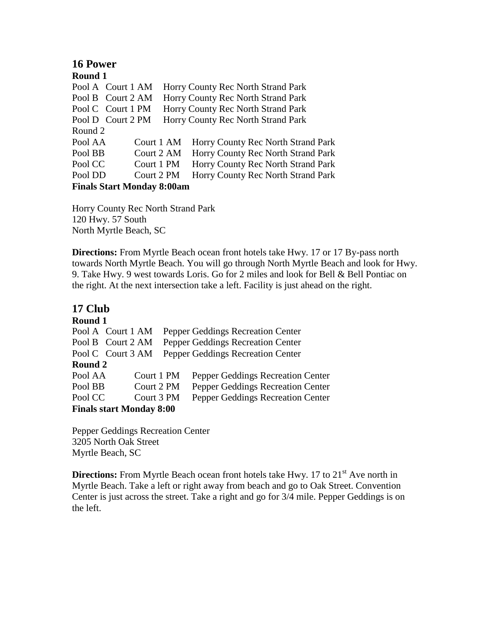# **16 Power**

**Round 1** Pool A Court 1 AM Horry County Rec North Strand Park Pool B Court 2 AM Horry County Rec North Strand Park Pool C Court 1 PM Horry County Rec North Strand Park Pool D Court 2 PM Horry County Rec North Strand Park Round 2 Pool AA Court 1 AM Horry County Rec North Strand Park Pool BB Court 2 AM Horry County Rec North Strand Park Pool CC Court 1 PM Horry County Rec North Strand Park Pool DD Court 2 PM Horry County Rec North Strand Park **Finals Start Monday 8:00am**

Horry County Rec North Strand Park 120 Hwy. 57 South North Myrtle Beach, SC

**Directions:** From Myrtle Beach ocean front hotels take Hwy. 17 or 17 By-pass north towards North Myrtle Beach. You will go through North Myrtle Beach and look for Hwy. 9. Take Hwy. 9 west towards Loris. Go for 2 miles and look for Bell & Bell Pontiac on the right. At the next intersection take a left. Facility is just ahead on the right.

# **17 Club**

### **Round 1**

| Pool A Court 1 AM               |  |            |  | Pepper Geddings Recreation Center |
|---------------------------------|--|------------|--|-----------------------------------|
| Pool B Court 2 AM               |  |            |  | Pepper Geddings Recreation Center |
| Pool C Court 3 AM               |  |            |  | Pepper Geddings Recreation Center |
| Round 2                         |  |            |  |                                   |
| Pool AA                         |  | Court 1 PM |  | Pepper Geddings Recreation Center |
| Pool BB                         |  | Court 2 PM |  | Pepper Geddings Recreation Center |
| Pool CC                         |  | Court 3 PM |  | Pepper Geddings Recreation Center |
| <b>Finals start Monday 8:00</b> |  |            |  |                                   |

Pepper Geddings Recreation Center 3205 North Oak Street Myrtle Beach, SC

**Directions:** From Myrtle Beach ocean front hotels take Hwy. 17 to 21<sup>st</sup> Ave north in Myrtle Beach. Take a left or right away from beach and go to Oak Street. Convention Center is just across the street. Take a right and go for 3/4 mile. Pepper Geddings is on the left.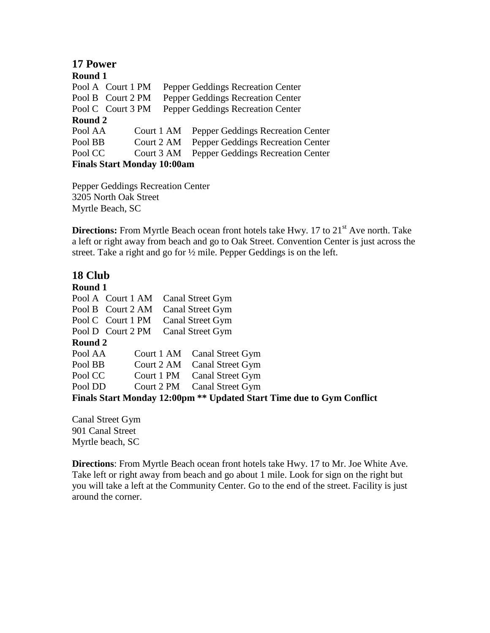| 17 Power                           |            |                                   |  |
|------------------------------------|------------|-----------------------------------|--|
| Round 1                            |            |                                   |  |
| Pool A Court 1 PM                  |            | Pepper Geddings Recreation Center |  |
| Pool B Court 2 PM                  |            | Pepper Geddings Recreation Center |  |
| Pool C Court 3 PM                  |            | Pepper Geddings Recreation Center |  |
| Round 2                            |            |                                   |  |
| Pool AA                            | Court 1 AM | Pepper Geddings Recreation Center |  |
| Pool BB                            | Court 2 AM | Pepper Geddings Recreation Center |  |
| Pool CC                            | Court 3 AM | Pepper Geddings Recreation Center |  |
| <b>Finals Start Monday 10:00am</b> |            |                                   |  |

Pepper Geddings Recreation Center 3205 North Oak Street Myrtle Beach, SC

**Directions:** From Myrtle Beach ocean front hotels take Hwy. 17 to 21<sup>st</sup> Ave north. Take a left or right away from beach and go to Oak Street. Convention Center is just across the street. Take a right and go for ½ mile. Pepper Geddings is on the left.

## **18 Club**

**Round 1** Pool A Court 1 AM Canal Street Gym Pool B Court 2 AM Canal Street Gym Pool C Court 1 PM Canal Street Gym Pool D Court 2 PM Canal Street Gym **Round 2** Pool AA Court 1 AM Canal Street Gym Pool BB Court 2 AM Canal Street Gym Pool CC Court 1 PM Canal Street Gym Pool DD Court 2 PM Canal Street Gym **Finals Start Monday 12:00pm \*\* Updated Start Time due to Gym Conflict**

Canal Street Gym 901 Canal Street Myrtle beach, SC

**Directions**: From Myrtle Beach ocean front hotels take Hwy. 17 to Mr. Joe White Ave. Take left or right away from beach and go about 1 mile. Look for sign on the right but you will take a left at the Community Center. Go to the end of the street. Facility is just around the corner.